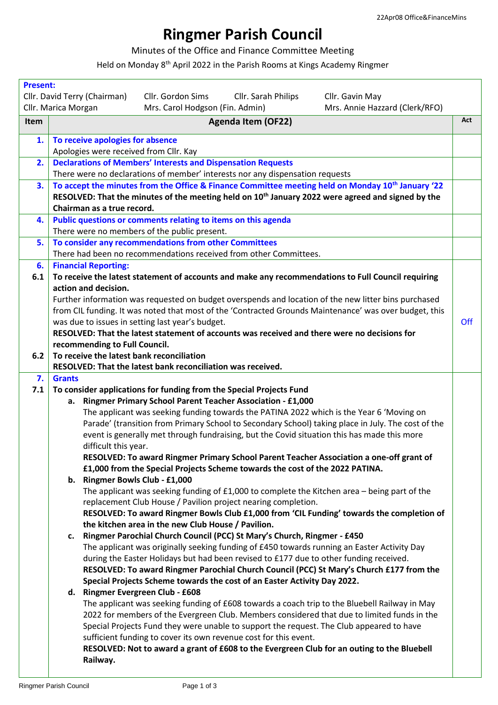## **Ringmer Parish Council**

Minutes of the Office and Finance Committee Meeting

Held on Monday 8<sup>th</sup> April 2022 in the Parish Rooms at Kings Academy Ringmer

| <b>Present:</b> |                                                                                                                                                            |     |
|-----------------|------------------------------------------------------------------------------------------------------------------------------------------------------------|-----|
|                 | Cllr. Gordon Sims<br>Cllr. David Terry (Chairman)<br>Cllr. Sarah Philips<br>Cllr. Gavin May                                                                |     |
|                 | Cllr. Marica Morgan<br>Mrs. Carol Hodgson (Fin. Admin)<br>Mrs. Annie Hazzard (Clerk/RFO)                                                                   |     |
| <b>Item</b>     | <b>Agenda Item (OF22)</b>                                                                                                                                  | Act |
| 1.              | To receive apologies for absence                                                                                                                           |     |
|                 | Apologies were received from Cllr. Kay                                                                                                                     |     |
| 2.              | <b>Declarations of Members' Interests and Dispensation Requests</b><br>There were no declarations of member' interests nor any dispensation requests       |     |
| 3.              | To accept the minutes from the Office & Finance Committee meeting held on Monday 10 <sup>th</sup> January '22                                              |     |
|                 | RESOLVED: That the minutes of the meeting held on 10 <sup>th</sup> January 2022 were agreed and signed by the<br>Chairman as a true record.                |     |
| 4.              | Public questions or comments relating to items on this agenda                                                                                              |     |
|                 | There were no members of the public present.                                                                                                               |     |
| 5.              | To consider any recommendations from other Committees                                                                                                      |     |
|                 | There had been no recommendations received from other Committees.                                                                                          |     |
| 6.              | <b>Financial Reporting:</b>                                                                                                                                |     |
| 6.1             | To receive the latest statement of accounts and make any recommendations to Full Council requiring                                                         |     |
|                 | action and decision.                                                                                                                                       |     |
|                 | Further information was requested on budget overspends and location of the new litter bins purchased                                                       |     |
|                 | from CIL funding. It was noted that most of the 'Contracted Grounds Maintenance' was over budget, this<br>was due to issues in setting last year's budget. | Off |
|                 | RESOLVED: That the latest statement of accounts was received and there were no decisions for                                                               |     |
|                 | recommending to Full Council.                                                                                                                              |     |
| 6.2             | To receive the latest bank reconciliation                                                                                                                  |     |
|                 | RESOLVED: That the latest bank reconciliation was received.                                                                                                |     |
| 7.              | <b>Grants</b>                                                                                                                                              |     |
| 7.1             | To consider applications for funding from the Special Projects Fund                                                                                        |     |
|                 | Ringmer Primary School Parent Teacher Association - £1,000<br>а.                                                                                           |     |
|                 | The applicant was seeking funding towards the PATINA 2022 which is the Year 6 'Moving on                                                                   |     |
|                 | Parade' (transition from Primary School to Secondary School) taking place in July. The cost of the                                                         |     |
|                 | event is generally met through fundraising, but the Covid situation this has made this more                                                                |     |
|                 | difficult this year.                                                                                                                                       |     |
|                 | RESOLVED: To award Ringmer Primary School Parent Teacher Association a one-off grant of                                                                    |     |
|                 | £1,000 from the Special Projects Scheme towards the cost of the 2022 PATINA.                                                                               |     |
|                 | b. Ringmer Bowls Club - £1,000                                                                                                                             |     |
|                 | The applicant was seeking funding of $£1,000$ to complete the Kitchen area - being part of the                                                             |     |
|                 | replacement Club House / Pavilion project nearing completion.                                                                                              |     |
|                 | RESOLVED: To award Ringmer Bowls Club £1,000 from 'CIL Funding' towards the completion of<br>the kitchen area in the new Club House / Pavilion.            |     |
|                 | Ringmer Parochial Church Council (PCC) St Mary's Church, Ringmer - £450<br>c.                                                                              |     |
|                 | The applicant was originally seeking funding of £450 towards running an Easter Activity Day                                                                |     |
|                 | during the Easter Holidays but had been revised to £177 due to other funding received.                                                                     |     |
|                 | RESOLVED: To award Ringmer Parochial Church Council (PCC) St Mary's Church £177 from the                                                                   |     |
|                 | Special Projects Scheme towards the cost of an Easter Activity Day 2022.                                                                                   |     |
|                 | d. Ringmer Evergreen Club - £608                                                                                                                           |     |
|                 | The applicant was seeking funding of £608 towards a coach trip to the Bluebell Railway in May                                                              |     |
|                 | 2022 for members of the Evergreen Club. Members considered that due to limited funds in the                                                                |     |
|                 | Special Projects Fund they were unable to support the request. The Club appeared to have                                                                   |     |
|                 | sufficient funding to cover its own revenue cost for this event.                                                                                           |     |
|                 | RESOLVED: Not to award a grant of £608 to the Evergreen Club for an outing to the Bluebell                                                                 |     |
|                 | Railway.                                                                                                                                                   |     |
|                 |                                                                                                                                                            |     |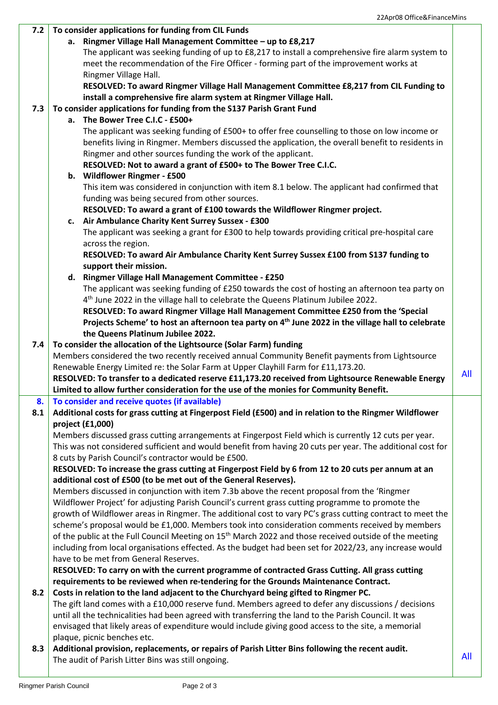| 7.2 | To consider applications for funding from CIL Funds                                                                |     |
|-----|--------------------------------------------------------------------------------------------------------------------|-----|
|     | a. Ringmer Village Hall Management Committee - up to £8,217                                                        |     |
|     | The applicant was seeking funding of up to £8,217 to install a comprehensive fire alarm system to                  |     |
|     | meet the recommendation of the Fire Officer - forming part of the improvement works at                             |     |
|     | Ringmer Village Hall.                                                                                              |     |
|     | RESOLVED: To award Ringmer Village Hall Management Committee £8,217 from CIL Funding to                            |     |
|     | install a comprehensive fire alarm system at Ringmer Village Hall.                                                 |     |
| 7.3 | To consider applications for funding from the S137 Parish Grant Fund                                               |     |
|     | a. The Bower Tree C.I.C - £500+                                                                                    |     |
|     | The applicant was seeking funding of £500+ to offer free counselling to those on low income or                     |     |
|     | benefits living in Ringmer. Members discussed the application, the overall benefit to residents in                 |     |
|     | Ringmer and other sources funding the work of the applicant.                                                       |     |
|     |                                                                                                                    |     |
|     | RESOLVED: Not to award a grant of £500+ to The Bower Tree C.I.C.                                                   |     |
|     | b. Wildflower Ringmer - £500                                                                                       |     |
|     | This item was considered in conjunction with item 8.1 below. The applicant had confirmed that                      |     |
|     | funding was being secured from other sources.                                                                      |     |
|     | RESOLVED: To award a grant of £100 towards the Wildflower Ringmer project.                                         |     |
|     | c. Air Ambulance Charity Kent Surrey Sussex - £300                                                                 |     |
|     | The applicant was seeking a grant for £300 to help towards providing critical pre-hospital care                    |     |
|     | across the region.                                                                                                 |     |
|     | RESOLVED: To award Air Ambulance Charity Kent Surrey Sussex £100 from S137 funding to                              |     |
|     | support their mission.                                                                                             |     |
|     | d. Ringmer Village Hall Management Committee - £250                                                                |     |
|     | The applicant was seeking funding of £250 towards the cost of hosting an afternoon tea party on                    |     |
|     | 4 <sup>th</sup> June 2022 in the village hall to celebrate the Queens Platinum Jubilee 2022.                       |     |
|     | RESOLVED: To award Ringmer Village Hall Management Committee £250 from the 'Special                                |     |
|     | Projects Scheme' to host an afternoon tea party on 4 <sup>th</sup> June 2022 in the village hall to celebrate      |     |
|     | the Queens Platinum Jubilee 2022.                                                                                  |     |
| 7.4 | To consider the allocation of the Lightsource (Solar Farm) funding                                                 |     |
|     | Members considered the two recently received annual Community Benefit payments from Lightsource                    |     |
|     | Renewable Energy Limited re: the Solar Farm at Upper Clayhill Farm for £11,173.20.                                 |     |
|     | RESOLVED: To transfer to a dedicated reserve £11,173.20 received from Lightsource Renewable Energy                 | All |
|     | Limited to allow further consideration for the use of the monies for Community Benefit.                            |     |
| 8.  | To consider and receive quotes (if available)                                                                      |     |
| 8.1 | Additional costs for grass cutting at Fingerpost Field (£500) and in relation to the Ringmer Wildflower            |     |
|     | project (£1,000)                                                                                                   |     |
|     | Members discussed grass cutting arrangements at Fingerpost Field which is currently 12 cuts per year.              |     |
|     | This was not considered sufficient and would benefit from having 20 cuts per year. The additional cost for         |     |
|     | 8 cuts by Parish Council's contractor would be £500.                                                               |     |
|     | RESOLVED: To increase the grass cutting at Fingerpost Field by 6 from 12 to 20 cuts per annum at an                |     |
|     | additional cost of £500 (to be met out of the General Reserves).                                                   |     |
|     | Members discussed in conjunction with item 7.3b above the recent proposal from the 'Ringmer                        |     |
|     | Wildflower Project' for adjusting Parish Council's current grass cutting programme to promote the                  |     |
|     |                                                                                                                    |     |
|     | growth of Wildflower areas in Ringmer. The additional cost to vary PC's grass cutting contract to meet the         |     |
|     | scheme's proposal would be £1,000. Members took into consideration comments received by members                    |     |
|     | of the public at the Full Council Meeting on 15 <sup>th</sup> March 2022 and those received outside of the meeting |     |
|     | including from local organisations effected. As the budget had been set for 2022/23, any increase would            |     |
|     | have to be met from General Reserves.                                                                              |     |
|     |                                                                                                                    |     |
|     | RESOLVED: To carry on with the current programme of contracted Grass Cutting. All grass cutting                    |     |
|     | requirements to be reviewed when re-tendering for the Grounds Maintenance Contract.                                |     |
| 8.2 | Costs in relation to the land adjacent to the Churchyard being gifted to Ringmer PC.                               |     |
|     | The gift land comes with a £10,000 reserve fund. Members agreed to defer any discussions / decisions               |     |
|     | until all the technicalities had been agreed with transferring the land to the Parish Council. It was              |     |
|     | envisaged that likely areas of expenditure would include giving good access to the site, a memorial                |     |
|     | plaque, picnic benches etc.                                                                                        |     |
| 8.3 | Additional provision, replacements, or repairs of Parish Litter Bins following the recent audit.                   | All |